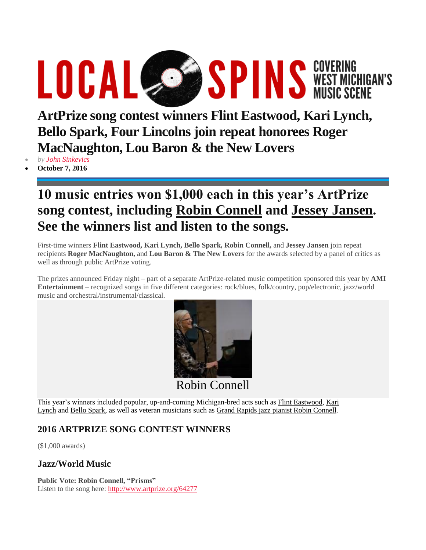# **LOCAL COSER SPINS WEST MICHIGAN'S**

**ArtPrize song contest winners Flint Eastwood, Kari Lynch, Bello Spark, Four Lincolns join repeat honorees Roger MacNaughton, Lou Baron & the New Lovers**

*by John [Sinkevics](https://localspins.com/author/loca9871/)*

**October 7, 2016**

## **10 music entries won \$1,000 each in this year's ArtPrize song contest, including Robin Connell and Jessey Jansen. See the winners list and listen to the songs.**

First-time winners **Flint Eastwood, Kari Lynch, Bello Spark, Robin Connell,** and **Jessey Jansen** join repeat recipients **Roger MacNaughton,** and **Lou Baron & The New Lovers** for the awards selected by a panel of critics as well as through public ArtPrize voting.

The prizes announced Friday night – part of a separate ArtPrize-related music competition sponsored this year by **AMI Entertainment** – recognized songs in five different categories: rock/blues, folk/country, pop/electronic, jazz/world music and orchestral/instrumental/classical.



Robin Connell

This year's winners included popular, up-and-coming Michigan-bred acts such as Flint [Eastwood,](http://www.flinteastwoodmusic.com/) [Kari](http://www.karilynch.com/) [Lynch](http://www.karilynch.com/) and Bello [Spark,](http://www.bellospark.com/) as well as veteran musicians such as Grand Rapids jazz pianist Robin Connell.

### **2016 ARTPRIZE SONG CONTEST WINNERS**

(\$1,000 awards)

#### **Jazz/World Music**

**Public Vote: Robin Connell, "Prisms"** Listen to the song here: <http://www.artprize.org/64277>